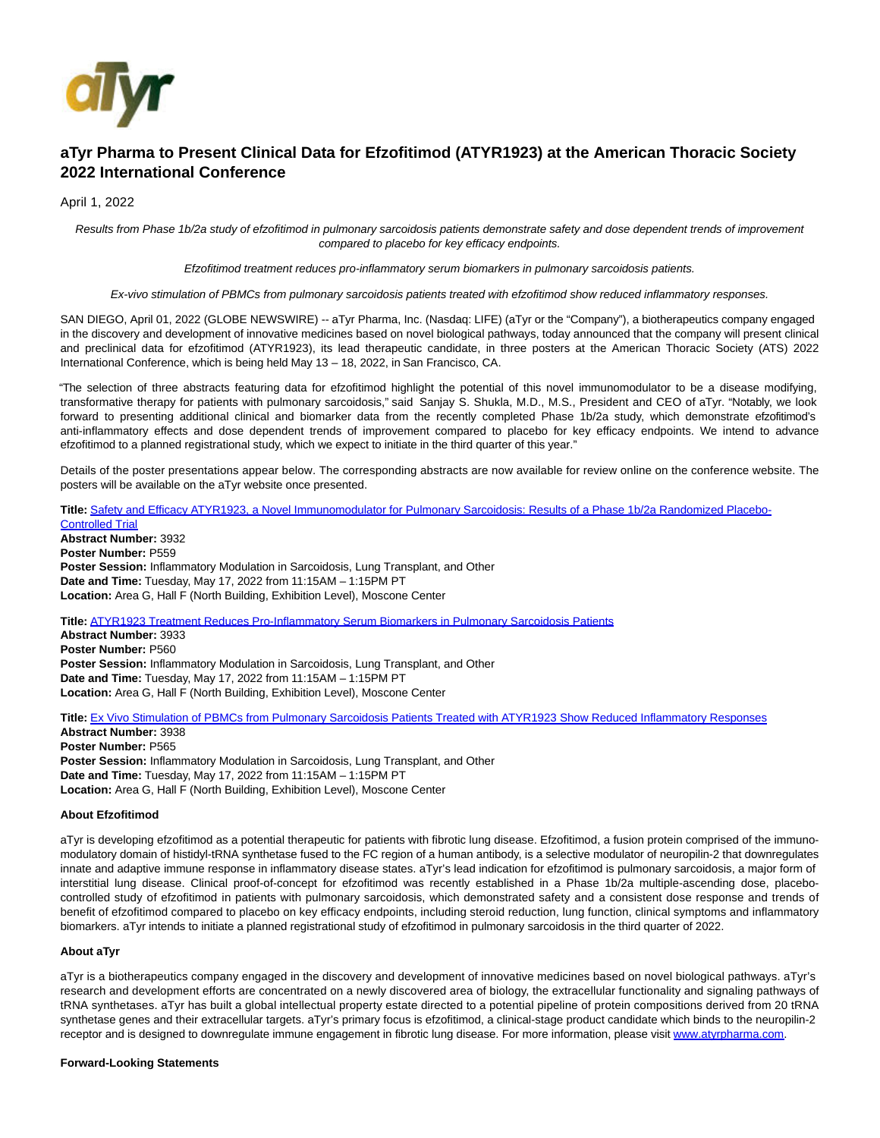

# **aTyr Pharma to Present Clinical Data for Efzofitimod (ATYR1923) at the American Thoracic Society 2022 International Conference**

April 1, 2022

Results from Phase 1b/2a study of efzofitimod in pulmonary sarcoidosis patients demonstrate safety and dose dependent trends of improvement compared to placebo for key efficacy endpoints.

Efzofitimod treatment reduces pro-inflammatory serum biomarkers in pulmonary sarcoidosis patients.

Ex-vivo stimulation of PBMCs from pulmonary sarcoidosis patients treated with efzofitimod show reduced inflammatory responses.

SAN DIEGO, April 01, 2022 (GLOBE NEWSWIRE) -- aTyr Pharma, Inc. (Nasdaq: LIFE) (aTyr or the "Company"), a biotherapeutics company engaged in the discovery and development of innovative medicines based on novel biological pathways, today announced that the company will present clinical and preclinical data for efzofitimod (ATYR1923), its lead therapeutic candidate, in three posters at the American Thoracic Society (ATS) 2022 International Conference, which is being held May 13 – 18, 2022, in San Francisco, CA.

"The selection of three abstracts featuring data for efzofitimod highlight the potential of this novel immunomodulator to be a disease modifying, transformative therapy for patients with pulmonary sarcoidosis," said Sanjay S. Shukla, M.D., M.S., President and CEO of aTyr. "Notably, we look forward to presenting additional clinical and biomarker data from the recently completed Phase 1b/2a study, which demonstrate efzofitimod's anti-inflammatory effects and dose dependent trends of improvement compared to placebo for key efficacy endpoints. We intend to advance efzofitimod to a planned registrational study, which we expect to initiate in the third quarter of this year."

Details of the poster presentations appear below. The corresponding abstracts are now available for review online on the conference website. The posters will be available on the aTyr website once presented.

**Title:** [Safety and Efficacy ATYR1923, a Novel Immunomodulator for Pulmonary Sarcoidosis: Results of a Phase 1b/2a Randomized Placebo-](https://www.globenewswire.com/Tracker?data=0qwKQLR00iONH3-mfzSftbKwn15r7MSbkgEY_2EHy5cG7PzNVbypaWwNUhZPHSXe_5ce7rACFWQKXHATM4bkVwsE1ehKUanqoVfi0vGKbfD9YWLidBIaSMQSZk9G4qr93-gS1hmqFqjtqL1Y4FGRC7OfvJgZeqV-DUZZFTX4t9k6gP0Fc7sS8gBcFXWowHHwetPFHya09sET2mHtyjmqK9iOON8z4X49I8Gdzx3WC49KZhHXARKBHHOx0_CDh_DqlHx7W2KDL0lNUs9NANpumFikkBEGHfPMVII1lHyskaFBykgz_eD8t5KNWRPS8c-u)Controlled Trial **Abstract Number:** 3932

**Poster Number:** P559 **Poster Session:** Inflammatory Modulation in Sarcoidosis, Lung Transplant, and Other **Date and Time:** Tuesday, May 17, 2022 from 11:15AM – 1:15PM PT **Location:** Area G, Hall F (North Building, Exhibition Level), Moscone Center

**Title:** [ATYR1923 Treatment Reduces Pro-Inflammatory Serum Biomarkers in Pulmonary Sarcoidosis Patients](https://www.globenewswire.com/Tracker?data=2YUeYBQoblqal8QdGderEF0rI0e1o8PvRKHKPjq8vYfTyrmfp6YQ2EsOtxDWJst9VJ2-JHXdi8vxTcFSvs9hNPT_bhRxkVtgXscvEhdrKPmrWqaAYMVelcjAftq0b5Z64jMdpgZnygK9a6P2BHMICT_ovx5OKpMHreRtn_lY0MInHObmxM0sE77hXmaWnkptNHr8m-LDfzxlS-mFeMXIngVUpYQcKdtvtQ2o9IBvFcHppzCNMb87xdMp0yJ-J6S9)

**Abstract Number:** 3933 **Poster Number:** P560 **Poster Session:** Inflammatory Modulation in Sarcoidosis, Lung Transplant, and Other **Date and Time:** Tuesday, May 17, 2022 from 11:15AM – 1:15PM PT **Location:** Area G, Hall F (North Building, Exhibition Level), Moscone Center

Title: [Ex Vivo Stimulation of PBMCs from Pulmonary Sarcoidosis Patients Treated with ATYR1923 Show Reduced Inflammatory Responses](https://www.globenewswire.com/Tracker?data=f-ICCcLYBoppaBoc3_pXg9dHfCZt1JrrVxQatLvUYdWvjaJ-u1AdPIhwCHpGZitcmSIgZwb4YB1by4wJN1ljU_-fagSmS3RBCQZXiAj-QQLO0iYW-jYQR3LuOrsb4ihxdU_uecN6IOr4GeZ3lgNx7qhmljc2NJf76N80nCnIIfyp45j3UPUaUPHe_aiTJ8rxDDvbY72QL810yHNU1H9AtYb_wbhX4c8wFK1IwoLnv1Dak43msbMbN0K7iGnIs6U6noCImCPez3jctN3gSQrBrQ==)

**Abstract Number:** 3938 **Poster Number:** P565 **Poster Session:** Inflammatory Modulation in Sarcoidosis, Lung Transplant, and Other **Date and Time:** Tuesday, May 17, 2022 from 11:15AM – 1:15PM PT **Location:** Area G, Hall F (North Building, Exhibition Level), Moscone Center

## **About Efzofitimod**

aTyr is developing efzofitimod as a potential therapeutic for patients with fibrotic lung disease. Efzofitimod, a fusion protein comprised of the immunomodulatory domain of histidyl-tRNA synthetase fused to the FC region of a human antibody, is a selective modulator of neuropilin-2 that downregulates innate and adaptive immune response in inflammatory disease states. aTyr's lead indication for efzofitimod is pulmonary sarcoidosis, a major form of interstitial lung disease. Clinical proof-of-concept for efzofitimod was recently established in a Phase 1b/2a multiple-ascending dose, placebocontrolled study of efzofitimod in patients with pulmonary sarcoidosis, which demonstrated safety and a consistent dose response and trends of benefit of efzofitimod compared to placebo on key efficacy endpoints, including steroid reduction, lung function, clinical symptoms and inflammatory biomarkers. aTyr intends to initiate a planned registrational study of efzofitimod in pulmonary sarcoidosis in the third quarter of 2022.

## **About aTyr**

aTyr is a biotherapeutics company engaged in the discovery and development of innovative medicines based on novel biological pathways. aTyr's research and development efforts are concentrated on a newly discovered area of biology, the extracellular functionality and signaling pathways of tRNA synthetases. aTyr has built a global intellectual property estate directed to a potential pipeline of protein compositions derived from 20 tRNA synthetase genes and their extracellular targets. aTyr's primary focus is efzofitimod, a clinical-stage product candidate which binds to the neuropilin-2 receptor and is designed to downregulate immune engagement in fibrotic lung disease. For more information, please visit [www.atyrpharma.com.](https://www.globenewswire.com/Tracker?data=QHkXBDior8G4hw3it8wNSTe8BpAmAAoP5w3L9eQQS_O_sLl4GYvLSIQatMaRMkqV0ZdXaGeHibEXRQHK-PBrWerll_u7p5pJKX99zGhME30=)

#### **Forward-Looking Statements**